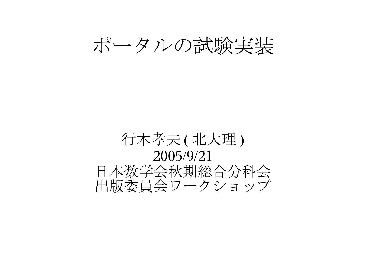ポータルの試験実装

#### 行木孝夫 ( 北大理 ) 2005/9/21 日本数学会秋期総合分科会 出版委員会ワークショップ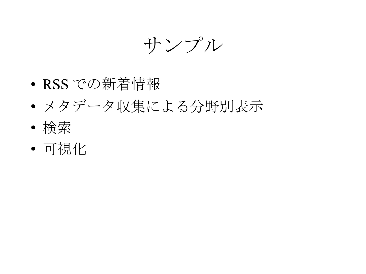サンプル

- RSS での新着情報
- メタデータ収集による分野別表示
- 検索
- 可視化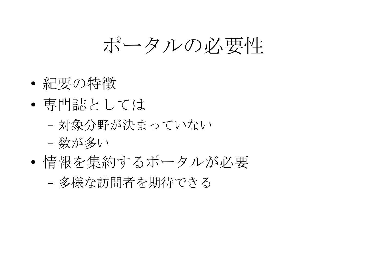ポータルの必要性

- 紀要の特徴
- 専門誌としては
	- 対象分野が決まっていない
	- 数が多い
- 情報を集約するポータルが必要 – 多様な訪問者を期待できる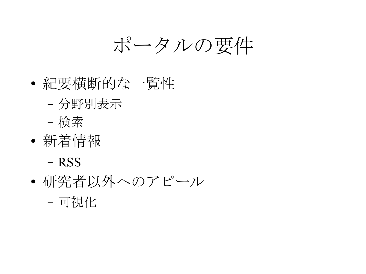ポータルの要件

- 紀要横断的な一覧性
	- 分野別表示
	- 検索
- 新着情報

– RSS

– 可視化

● 研究者以外へのアピール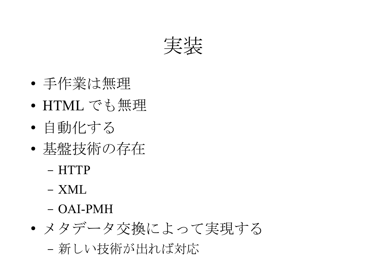

- 手作業は無理
- HTML でも無理
- 自動化する
- 基盤技術の存在
	- HTTP
	- XML
	- OAI-PMH
- メタデータ交換によって実現する – 新しい技術が出れば対応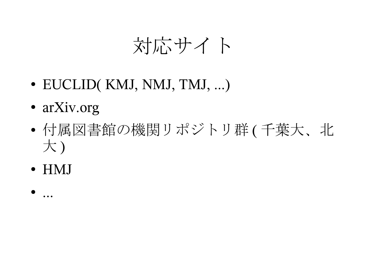#### 対応サイト

- EUCLID(KMJ, NMJ, TMJ, ...)
- arXiv.org
- 付属図書館の機関リポジトリ群 ( 千葉大、北 大)
- HMJ
- ...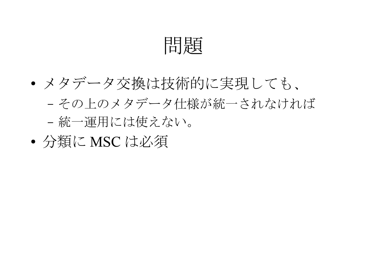問題

- メタデータ交換は技術的に実現しても、 – その上のメタデータ仕様が統一されなければ – 統一運用には使えない。
- 分類に MSC は必須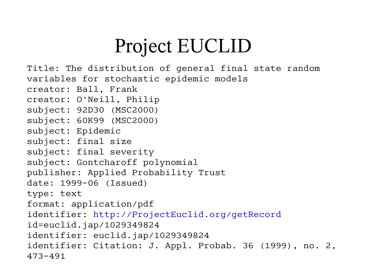# Project EUCLID

```
Title: The distribution of general final state random 
variables for stochastic epidemic models
creator: Ball, Frank
creator: O'Neill, Philip
subject: 92D30 (MSC2000)
subject: 60K99 (MSC2000)
subject: Epidemic
subject: final size 
subject: final severity
subject: Gontcharoff polynomial
publisher: Applied Probability Trust
date: 1999-06 (Issued)
type: text
format: application/pdf
identifier: http://ProjectEuclid.org/getRecord
id=euclid.jap/1029349824
identifier: euclid.jap/1029349824
identifier: Citation: J. Appl. Probab. 36 (1999), no. 2, 
473-491
```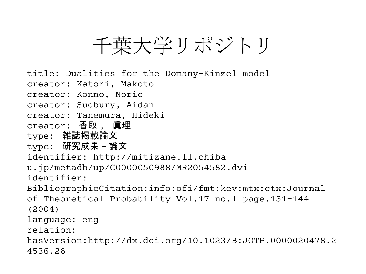## 千葉大学リポジトリ

title: Dualities for the Domany-Kinzel model creator: Katori, Makoto creator: Konno, Norio creator: Sudbury, Aidan creator: Tanemura, Hideki creator: 香取 , 眞理 type: 雑誌掲載論文 type: 研究成果 - 論文 identifier: http://mitizane.ll.chibau.jp/metadb/up/C0000050988/MR2054582.dvi identifier: BibliographicCitation:info:ofi/fmt:kev:mtx:ctx:Journal of Theoretical Probability Vol.17 no.1 page.131-144 (2004) language: eng relation: hasVersion:http://dx.doi.org/10.1023/B:JOTP.0000020478.2 4536.26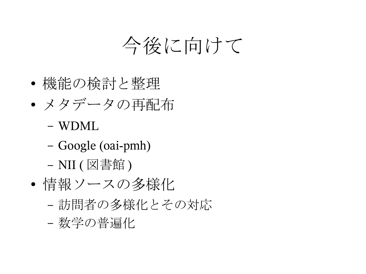## 今後に向けて

- 機能の検討と整理
- メタデータの再配布
	- WDML
	- Google (oai-pmh)
	- NII ( 図書館 )
- 情報ソースの多様化
	- 訪問者の多様化とその対応
	- 数学の普遍化